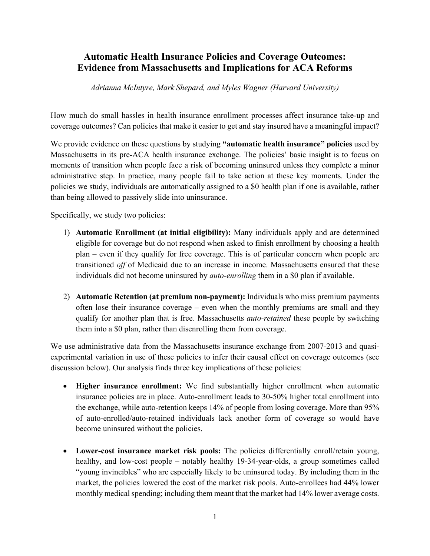## **Automatic Health Insurance Policies and Coverage Outcomes: Evidence from Massachusetts and Implications for ACA Reforms**

*Adrianna McIntyre, Mark Shepard, and Myles Wagner (Harvard University)*

How much do small hassles in health insurance enrollment processes affect insurance take-up and coverage outcomes? Can policies that make it easier to get and stay insured have a meaningful impact?

We provide evidence on these questions by studying **"automatic health insurance" policies** used by Massachusetts in its pre-ACA health insurance exchange. The policies' basic insight is to focus on moments of transition when people face a risk of becoming uninsured unless they complete a minor administrative step. In practice, many people fail to take action at these key moments. Under the policies we study, individuals are automatically assigned to a \$0 health plan if one is available, rather than being allowed to passively slide into uninsurance.

Specifically, we study two policies:

- 1) **Automatic Enrollment (at initial eligibility):** Many individuals apply and are determined eligible for coverage but do not respond when asked to finish enrollment by choosing a health plan – even if they qualify for free coverage. This is of particular concern when people are transitioned *off* of Medicaid due to an increase in income. Massachusetts ensured that these individuals did not become uninsured by *auto-enrolling* them in a \$0 plan if available.
- 2) **Automatic Retention (at premium non-payment):** Individuals who miss premium payments often lose their insurance coverage – even when the monthly premiums are small and they qualify for another plan that is free. Massachusetts *auto-retained* these people by switching them into a \$0 plan, rather than disenrolling them from coverage.

We use administrative data from the Massachusetts insurance exchange from 2007-2013 and quasiexperimental variation in use of these policies to infer their causal effect on coverage outcomes (see discussion below). Our analysis finds three key implications of these policies:

- **Higher insurance enrollment:** We find substantially higher enrollment when automatic insurance policies are in place. Auto-enrollment leads to 30-50% higher total enrollment into the exchange, while auto-retention keeps 14% of people from losing coverage. More than 95% of auto-enrolled/auto-retained individuals lack another form of coverage so would have become uninsured without the policies.
- **Lower-cost insurance market risk pools:** The policies differentially enroll/retain young, healthy, and low-cost people – notably healthy 19-34-year-olds, a group sometimes called "young invincibles" who are especially likely to be uninsured today. By including them in the market, the policies lowered the cost of the market risk pools. Auto-enrollees had 44% lower monthly medical spending; including them meant that the market had 14% lower average costs.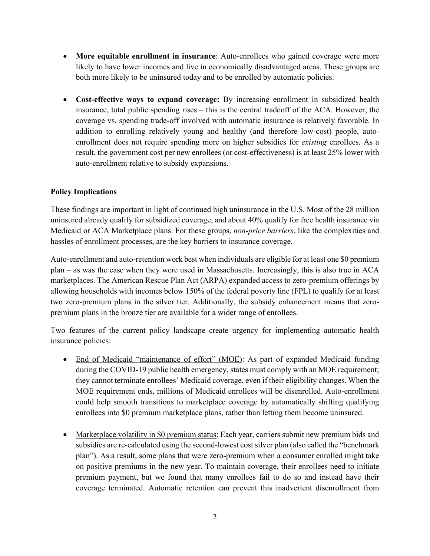- **More equitable enrollment in insurance**: Auto-enrollees who gained coverage were more likely to have lower incomes and live in economically disadvantaged areas. These groups are both more likely to be uninsured today and to be enrolled by automatic policies.
- **Cost-effective ways to expand coverage:** By increasing enrollment in subsidized health insurance, total public spending rises – this is the central tradeoff of the ACA. However, the coverage vs. spending trade-off involved with automatic insurance is relatively favorable. In addition to enrolling relatively young and healthy (and therefore low-cost) people, autoenrollment does not require spending more on higher subsidies for *existing* enrollees. As a result, the government cost per new enrollees (or cost-effectiveness) is at least 25% lower with auto-enrollment relative to subsidy expansions.

## **Policy Implications**

These findings are important in light of continued high uninsurance in the U.S. Most of the 28 million uninsured already qualify for subsidized coverage, and about 40% qualify for free health insurance via Medicaid or ACA Marketplace plans. For these groups, *non-price barriers*, like the complexities and hassles of enrollment processes, are the key barriers to insurance coverage.

Auto-enrollment and auto-retention work best when individuals are eligible for at least one \$0 premium plan – as was the case when they were used in Massachusetts. Increasingly, this is also true in ACA marketplaces. The American Rescue Plan Act (ARPA) expanded access to zero-premium offerings by allowing households with incomes below 150% of the federal poverty line (FPL) to qualify for at least two zero-premium plans in the silver tier. Additionally, the subsidy enhancement means that zeropremium plans in the bronze tier are available for a wider range of enrollees.

Two features of the current policy landscape create urgency for implementing automatic health insurance policies:

- End of Medicaid "maintenance of effort" (MOE): As part of expanded Medicaid funding during the COVID-19 public health emergency, states must comply with an MOE requirement; they cannot terminate enrollees' Medicaid coverage, even if their eligibility changes. When the MOE requirement ends, millions of Medicaid enrollees will be disenrolled. Auto-enrollment could help smooth transitions to marketplace coverage by automatically shifting qualifying enrollees into \$0 premium marketplace plans, rather than letting them become uninsured.
- Marketplace volatility in \$0 premium status: Each year, carriers submit new premium bids and subsidies are re-calculated using the second-lowest cost silver plan (also called the "benchmark plan"). As a result, some plans that were zero-premium when a consumer enrolled might take on positive premiums in the new year. To maintain coverage, their enrollees need to initiate premium payment, but we found that many enrollees fail to do so and instead have their coverage terminated. Automatic retention can prevent this inadvertent disenrollment from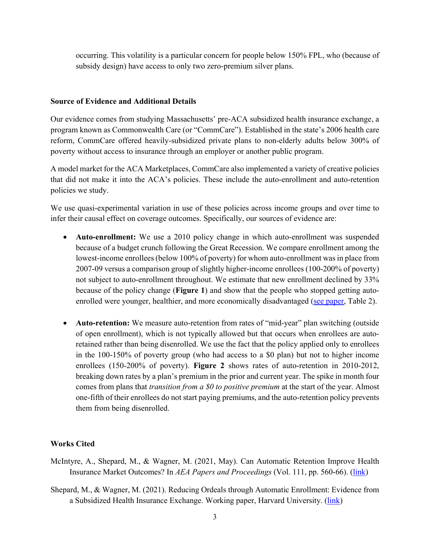occurring. This volatility is a particular concern for people below 150% FPL, who (because of subsidy design) have access to only two zero-premium silver plans.

## **Source of Evidence and Additional Details**

Our evidence comes from studying Massachusetts' pre-ACA subsidized health insurance exchange, a program known as Commonwealth Care (or "CommCare"). Established in the state's 2006 health care reform, CommCare offered heavily-subsidized private plans to non-elderly adults below 300% of poverty without access to insurance through an employer or another public program.

A model market for the ACA Marketplaces, CommCare also implemented a variety of creative policies that did not make it into the ACA's policies. These include the auto-enrollment and auto-retention policies we study.

We use quasi-experimental variation in use of these policies across income groups and over time to infer their causal effect on coverage outcomes. Specifically, our sources of evidence are:

- **Auto-enrollment:** We use a 2010 policy change in which auto-enrollment was suspended because of a budget crunch following the Great Recession. We compare enrollment among the lowest-income enrollees (below 100% of poverty) for whom auto-enrollment was in place from 2007-09 versus a comparison group of slightly higher-income enrollees (100-200% of poverty) not subject to auto-enrollment throughout. We estimate that new enrollment declined by 33% because of the policy change (**Figure 1**) and show that the people who stopped getting auto-enrolled were younger, healthier, and more economically disadvantaged [\(see paper,](https://scholar.harvard.edu/files/mshepard/files/shepard_wagner_autoenrollment.pdf) Table 2).
- **Auto-retention:** We measure auto-retention from rates of "mid-year" plan switching (outside of open enrollment), which is not typically allowed but that occurs when enrollees are autoretained rather than being disenrolled. We use the fact that the policy applied only to enrollees in the 100-150% of poverty group (who had access to a \$0 plan) but not to higher income enrollees (150-200% of poverty). **Figure 2** shows rates of auto-retention in 2010-2012, breaking down rates by a plan's premium in the prior and current year. The spike in month four comes from plans that *transition from a \$0 to positive premium* at the start of the year. Almost one-fifth of their enrollees do not start paying premiums, and the auto-retention policy prevents them from being disenrolled.

## **Works Cited**

- McIntyre, A., Shepard, M., & Wagner, M. (2021, May). Can Automatic Retention Improve Health Insurance Market Outcomes? In *AEA Papers and Proceedings* (Vol. 111, pp. 560-66). [\(link\)](https://scholar.harvard.edu/files/mshepard/files/automaticRetention_McIntyreShepardWagner_aeaPandP.pdf)
- Shepard, M., & Wagner, M. (2021). Reducing Ordeals through Automatic Enrollment: Evidence from a Subsidized Health Insurance Exchange. Working paper, Harvard University. (*link*)